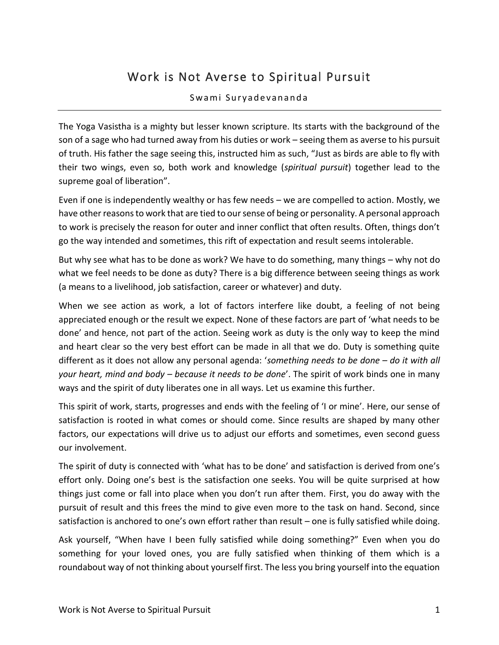## Work is Not Averse to Spiritual Pursuit

## Swami Suryadevananda

The Yoga Vasistha is a mighty but lesser known scripture. Its starts with the background of the son of a sage who had turned away from his duties or work – seeing them as averse to his pursuit of truth. His father the sage seeing this, instructed him as such, "Just as birds are able to fly with their two wings, even so, both work and knowledge (*spiritual pursuit*) together lead to the supreme goal of liberation".

Even if one is independently wealthy or has few needs – we are compelled to action. Mostly, we have other reasons to work that are tied to our sense of being or personality. A personal approach to work is precisely the reason for outer and inner conflict that often results. Often, things don't go the way intended and sometimes, this rift of expectation and result seems intolerable.

But why see what has to be done as work? We have to do something, many things – why not do what we feel needs to be done as duty? There is a big difference between seeing things as work (a means to a livelihood, job satisfaction, career or whatever) and duty.

When we see action as work, a lot of factors interfere like doubt, a feeling of not being appreciated enough or the result we expect. None of these factors are part of 'what needs to be done' and hence, not part of the action. Seeing work as duty is the only way to keep the mind and heart clear so the very best effort can be made in all that we do. Duty is something quite different as it does not allow any personal agenda: '*something needs to be done – do it with all your heart, mind and body – because it needs to be done*'. The spirit of work binds one in many ways and the spirit of duty liberates one in all ways. Let us examine this further.

This spirit of work, starts, progresses and ends with the feeling of 'I or mine'. Here, our sense of satisfaction is rooted in what comes or should come. Since results are shaped by many other factors, our expectations will drive us to adjust our efforts and sometimes, even second guess our involvement.

The spirit of duty is connected with 'what has to be done' and satisfaction is derived from one's effort only. Doing one's best is the satisfaction one seeks. You will be quite surprised at how things just come or fall into place when you don't run after them. First, you do away with the pursuit of result and this frees the mind to give even more to the task on hand. Second, since satisfaction is anchored to one's own effort rather than result – one is fully satisfied while doing.

Ask yourself, "When have I been fully satisfied while doing something?" Even when you do something for your loved ones, you are fully satisfied when thinking of them which is a roundabout way of not thinking about yourself first. The less you bring yourself into the equation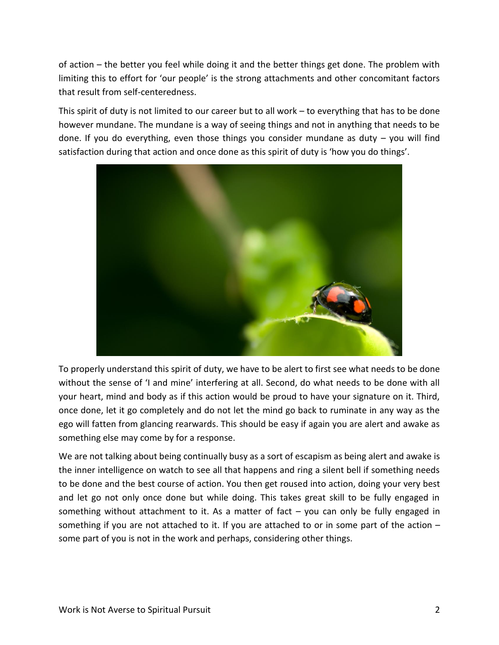of action – the better you feel while doing it and the better things get done. The problem with limiting this to effort for 'our people' is the strong attachments and other concomitant factors that result from self-centeredness.

This spirit of duty is not limited to our career but to all work – to everything that has to be done however mundane. The mundane is a way of seeing things and not in anything that needs to be done. If you do everything, even those things you consider mundane as duty – you will find satisfaction during that action and once done as this spirit of duty is 'how you do things'.



To properly understand this spirit of duty, we have to be alert to first see what needs to be done without the sense of 'I and mine' interfering at all. Second, do what needs to be done with all your heart, mind and body as if this action would be proud to have your signature on it. Third, once done, let it go completely and do not let the mind go back to ruminate in any way as the ego will fatten from glancing rearwards. This should be easy if again you are alert and awake as something else may come by for a response.

We are not talking about being continually busy as a sort of escapism as being alert and awake is the inner intelligence on watch to see all that happens and ring a silent bell if something needs to be done and the best course of action. You then get roused into action, doing your very best and let go not only once done but while doing. This takes great skill to be fully engaged in something without attachment to it. As a matter of fact  $-$  you can only be fully engaged in something if you are not attached to it. If you are attached to or in some part of the action – some part of you is not in the work and perhaps, considering other things.